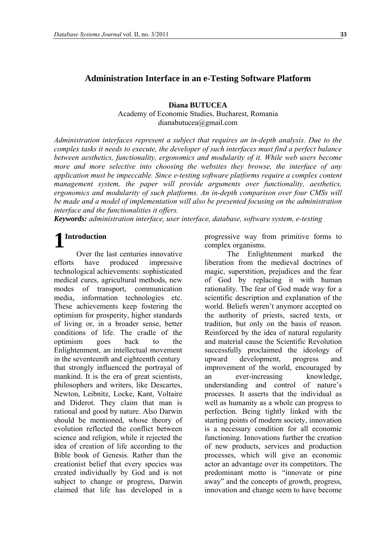# **Administration Interface in an e-Testing Software Platform**

**Diana BUTUCEA** Academy of Economic Studies, Bucharest, Romania dianabutucea@gmail.com

*Administration interfaces represent a subject that requires an in-depth analysis. Due to the complex tasks it needs to execute, the developer of such interfaces must find a perfect balance between aesthetics, functionality, ergonomics and modularity of it. While web users become more and more selective into choosing the websites they browse, the interface of any application must be impeccable. Since e-testing software platforms require a complex content management system, the paper will provide arguments over functionality, aesthetics, ergonomics and modularity of such platforms. An in-depth comparison over four CMSs will be made and a model of implementation will also be presented focusing on the administration interface and the functionalities it offers.* 

*Keywords: administration interface, user interface, database, software system, e-testing* 

# **1 Introduction**

Over the last centuries innovative efforts have produced impressive technological achievements: sophisticated medical cures, agricultural methods, new modes of transport, communication media, information technologies etc. These achievements keep fostering the optimism for prosperity, higher standards of living or, in a broader sense, better conditions of life. The cradle of the optimism goes back to the Enlightenment, an intellectual movement in the seventeenth and eighteenth century that strongly influenced the portrayal of mankind. It is the era of great scientists, philosophers and writers, like Descartes, Newton, Leibnitz, Locke, Kant, Voltaire and Diderot. They claim that man is rational and good by nature. Also Darwin should be mentioned, whose theory of evolution reflected the conflict between science and religion, while it rejected the idea of creation of life according to the Bible book of Genesis. Rather than the creationist belief that every species was created individually by God and is not subject to change or progress, Darwin claimed that life has developed in a

progressive way from primitive forms to complex organisms.

The Enlightenment marked the liberation from the medieval doctrines of magic, superstition, prejudices and the fear of God by replacing it with human rationality. The fear of God made way for a scientific description and explanation of the world. Beliefs weren't anymore accepted on the authority of priests, sacred texts, or tradition, but only on the basis of reason. Reinforced by the idea of natural regularity and material cause the Scientific Revolution successfully proclaimed the ideology of upward development, progress and improvement of the world, encouraged by an ever-increasing knowledge, understanding and control of nature's processes. It asserts that the individual as well as humanity as a whole can progress to perfection. Being tightly linked with the starting points of modern society, innovation is a necessary condition for all economic functioning. Innovations further the creation of new products, services and production processes, which will give an economic actor an advantage over its competitors. The predominant motto is "innovate or pine away" and the concepts of growth, progress, innovation and change seem to have become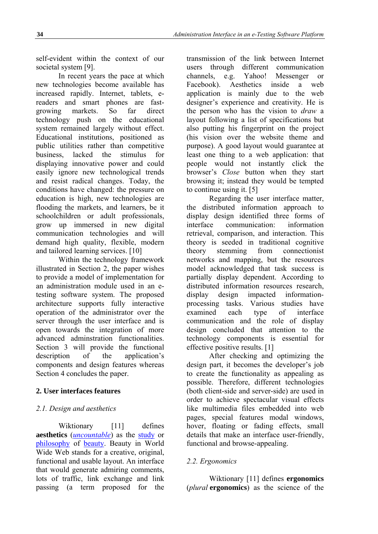self-evident within the context of our societal system [9].

In recent years the pace at which new technologies become available has increased rapidly. Internet, tablets, ereaders and smart phones are fastgrowing markets. So far direct technology push on the educational system remained largely without effect. Educational institutions, positioned as public utilities rather than competitive business, lacked the stimulus for displaying innovative power and could easily ignore new technological trends and resist radical changes. Today, the conditions have changed: the pressure on education is high, new technologies are flooding the markets, and learners, be it schoolchildren or adult professionals, grow up immersed in new digital communication technologies and will demand high quality, flexible, modern and tailored learning services. [10]

Within the technology framework illustrated in Section 2, the paper wishes to provide a model of implementation for an administration module used in an etesting software system. The proposed architecture supports fully interactive operation of the administrator over the server through the user interface and is open towards the integration of more advanced adminstration functionalities. Section 3 will provide the functional description of the application's components and design features whereas Section 4 concludes the paper.

# **2. User interfaces features**

# *2.1. Design and aesthetics*

Wiktionary [11] defines **aesthetics** (*[uncountable](http://en.wiktionary.org/wiki/Appendix:Glossary#uncountable)*) as the [study](http://en.wiktionary.org/wiki/study) or [philosophy](http://en.wiktionary.org/wiki/philosophy) of [beauty.](http://en.wiktionary.org/wiki/beauty) Beauty in World Wide Web stands for a creative, original, functional and usable layout. An interface that would generate admiring comments, lots of traffic, link exchange and link passing (a term proposed for the

transmission of the link between Internet users through different communication channels, e.g. Yahoo! Messenger or Facebook). Aesthetics inside a web application is mainly due to the web designer's experience and creativity. He is the person who has the vision to *draw* a layout following a list of specifications but also putting his fingerprint on the project (his vision over the website theme and purpose). A good layout would guarantee at least one thing to a web application: that people would not instantly click the browser's *Close* button when they start browsing it; instead they would be tempted to continue using it. [5]

Regarding the user interface matter, the distributed information approach to display design identified three forms of interface communication: information retrieval, comparison, and interaction. This theory is seeded in traditional cognitive theory stemming from connectionist networks and mapping, but the resources model acknowledged that task success is partially display dependent. According to distributed information resources research, display design impacted informationprocessing tasks. Various studies have examined each type of interface communication and the role of display design concluded that attention to the technology components is essential for effective positive results. [1]

After checking and optimizing the design part, it becomes the developer's job to create the functionality as appealing as possible. Therefore, different technologies (both client-side and server-side) are used in order to achieve spectacular visual effects like multimedia files embedded into web pages, special features modal windows, hover, floating or fading effects, small details that make an interface user-friendly, functional and browse-appealing.

# *2.2. Ergonomics*

Wiktionary [11] defines **ergonomics** (*plural* **[ergonomics](http://en.wiktionary.org/wiki/ergonomics#English)**) as the [science](http://en.wiktionary.org/wiki/science) of the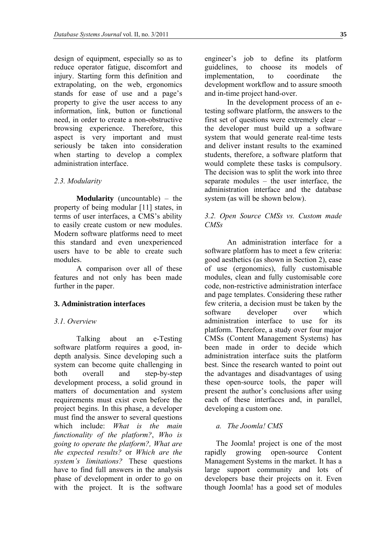[design](http://en.wiktionary.org/wiki/design) of [equipment,](http://en.wiktionary.org/wiki/equipment) especially so as to reduce [operator](http://en.wiktionary.org/wiki/operator) [fatigue,](http://en.wiktionary.org/wiki/fatigue) [discomfort](http://en.wiktionary.org/wiki/discomfort) and [injury.](http://en.wiktionary.org/wiki/injury) Starting form this definition and extrapolating, on the web, ergonomics stands for ease of use and a page's property to give the user access to any information, link, button or functional need, in order to create a non-obstructive browsing experience. Therefore, this aspect is very important and must seriously be taken into consideration when starting to develop a complex administration interface.

#### *2.3. Modularity*

**Modularity** (uncountable) – the property of being modular [11] states, in terms of user interfaces, a CMS's ability to easily create custom or new modules. Modern software platforms need to meet this standard and even unexperienced users have to be able to create such modules.

A comparison over all of these features and not only has been made further in the paper.

#### **3. Administration interfaces**

#### *3.1. Overview*

 Talking about an e-Testing software platform requires a good, indepth analysis. Since developing such a system can become quite challenging in both overall and step-by-step development process, a solid ground in matters of documentation and system requirements must exist even before the project begins. In this phase, a developer must find the answer to several questions which include: *What is the main functionality of the platform?*, *Who is going to operate the platform?, What are the expected results?* or *Which are the system's limitations?* These questions have to find full answers in the analysis phase of development in order to go on with the project. It is the software

engineer's job to define its platform guidelines, to choose its models of implementation, to coordinate the development workflow and to assure smooth and in-time project hand-over.

 In the development process of an etesting software platform, the answers to the first set of questions were extremely clear – the developer must build up a software system that would generate real-time tests and deliver instant results to the examined students, therefore, a software platform that would complete these tasks is compulsory. The decision was to split the work into three separate modules – the user interface, the administration interface and the database system (as will be shown below).

#### *3.2. Open Source CMSs vs. Custom made CMSs*

An administration interface for a software platform has to meet a few criteria: good aesthetics (as shown in Section 2), ease of use (ergonomics), fully customisable modules, clean and fully customisable core code, non-restrictive administration interface and page templates. Considering these rather few criteria, a decision must be taken by the software developer over which administration interface to use for its platform. Therefore, a study over four major CMSs (Content Management Systems) has been made in order to decide which administration interface suits the platform best. Since the research wanted to point out the advantages and disadvantages of using these open-source tools, the paper will present the author's conclusions after using each of these interfaces and, in parallel, developing a custom one.

## *a. The Joomla! CMS*

The Joomla! project is one of the most rapidly growing open-source Content Management Systems in the market. It has a large support community and lots of developers base their projects on it. Even though Joomla! has a good set of modules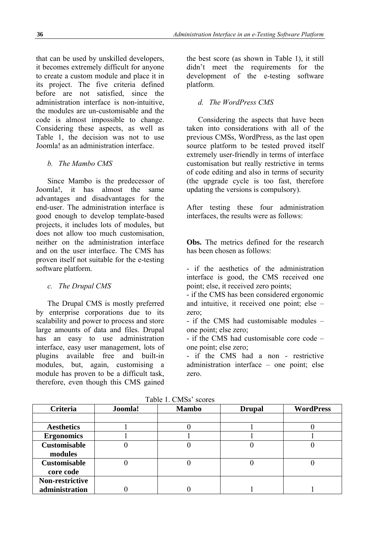that can be used by unskilled developers, it becomes extremely difficult for anyone to create a custom module and place it in its project. The five criteria defined before are not satisfied, since the administration interface is non-intuitive, the modules are un-customisable and the code is almost impossible to change. Considering these aspects, as well as Table 1, the decision was not to use Joomla! as an administration interface.

### *b. The Mambo CMS*

Since Mambo is the predecessor of Joomla!, it has almost the same advantages and disadvantages for the end-user. The administration interface is good enough to develop template-based projects, it includes lots of modules, but does not allow too much customisation, neither on the administration interface and on the user interface. The CMS has proven itself not suitable for the e-testing software platform.

#### *c. The Drupal CMS*

The Drupal CMS is mostly preferred by enterprise corporations due to its scalability and power to process and store large amounts of data and files. Drupal has an easy to use administration interface, easy user management, lots of plugins available free and built-in modules, but, again, customising a module has proven to be a difficult task, therefore, even though this CMS gained the best score (as shown in Table 1), it still didn't meet the requirements for the development of the e-testing software platform.

#### *d. The WordPress CMS*

Considering the aspects that have been taken into considerations with all of the previous CMSs, WordPress, as the last open source platform to be tested proved itself extremely user-friendly in terms of interface customisation but really restrictive in terms of code editing and also in terms of security (the upgrade cycle is too fast, therefore updating the versions is compulsory).

After testing these four administration interfaces, the results were as follows:

**Obs.** The metrics defined for the research has been chosen as follows:

- if the aesthetics of the administration interface is good, the CMS received one point; else, it received zero points;

- if the CMS has been considered ergonomic and intuitive, it received one point; else – zero;

- if the CMS had customisable modules – one point; else zero;

- if the CMS had customisable core code – one point; else zero;

- if the CMS had a non - restrictive administration interface – one point; else zero.

| <b>Criteria</b>     | Joomla! | <b>Mambo</b> | <b>Drupal</b> | <b>WordPress</b> |
|---------------------|---------|--------------|---------------|------------------|
|                     |         |              |               |                  |
| <b>Aesthetics</b>   |         |              |               |                  |
| <b>Ergonomics</b>   |         |              |               |                  |
| <b>Customisable</b> |         |              |               |                  |
| modules             |         |              |               |                  |
| <b>Customisable</b> |         |              |               |                  |
| core code           |         |              |               |                  |
| Non-restrictive     |         |              |               |                  |
| administration      |         |              |               |                  |

Table 1. CMSs' scores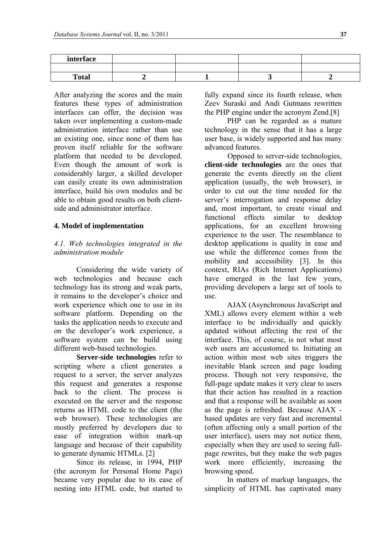| interface    |  |  |
|--------------|--|--|
|              |  |  |
| <b>Total</b> |  |  |

After analyzing the scores and the main features these types of administration interfaces can offer, the decision was taken over implementing a custom-made administration interface rather than use an existing one, since none of them has proven itself reliable for the software platform that needed to be developed. Even though the amount of work is considerably larger, a skilled developer can easily create its own administration interface, build his own modules and be able to obtain good results on both clientside and administrator interface.

## **4. Model of implementation**

### *4.1. Web technologies integrated in the administration module*

Considering the wide variety of web technologies and because each technology has its strong and weak parts, it remains to the developer's choice and work experience which one to use in its software platform. Depending on the tasks the application needs to execute and on the developer's work experience, a software system can be build using different web-based technologies.

**Server-side technologies** refer to scripting where a client generates a request to a server, the server analyzes this request and generates a response back to the client. The process is executed on the server and the response returns as HTML code to the client (the web browser). These technologies are mostly preferred by developers due to ease of integration within mark-up language and because of their capability to generate dynamic HTMLs. [2]

Since its release, in 1994, PHP (the acronym for Personal Home Page) became very popular due to its ease of nesting into HTML code, but started to

fully expand since its fourth release, when Zeev Suraski and Andi Gutmans rewritten the PHP engine under the acronym Zend.[8]

PHP can be regarded as a mature technology in the sense that it has a large user base, is widely supported and has many advanced features.

Opposed to server-side technologies, **client-side technologies** are the ones that generate the events directly on the client application (usually, the web browser), in order to cut out the time needed for the server's interrogation and response delay and, most important, to create visual and functional effects similar to desktop applications, for an excellent browsing experience to the user. The resemblance to desktop applications is quality in ease and use while the difference comes from the mobility and accessibility [3]. In this context, RIAs (Rich Internet Applications) have emerged in the last few years, providing developers a large set of tools to use.

AJAX (Asynchronous JavaScript and XML) allows every element within a web interface to be individually and quickly updated without affecting the rest of the interface. This, of course, is not what most web users are accustomed to. Initiating an action within most web sites triggers the inevitable blank screen and page loading process. Though not very responsive, the full-page update makes it very clear to users that their action has resulted in a reaction and that a response will be available as soon as the page is refreshed. Because AJAX based updates are very fast and incremental (often affecting only a small portion of the user interface), users may not notice them, especially when they are used to seeing fullpage rewrites, but they make the web pages work more efficiently, increasing the browsing speed.

In matters of markup languages, the simplicity of HTML has captivated many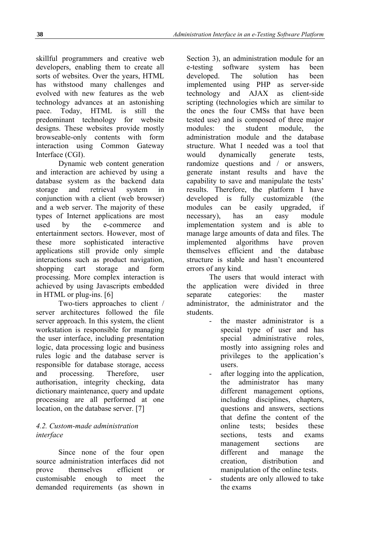skillful programmers and creative web developers, enabling them to create all sorts of websites. Over the years, HTML has withstood many challenges and evolved with new features as the web technology advances at an astonishing pace. Today, HTML is still the predominant technology for website designs. These websites provide mostly browseable-only contents with form interaction using Common Gateway Interface (CGI).

Dynamic web content generation and interaction are achieved by using a database system as the backend data storage and retrieval system in conjunction with a client (web browser) and a web server. The majority of these types of Internet applications are most used by the e-commerce and entertainment sectors. However, most of these more sophisticated interactive applications still provide only simple interactions such as product navigation, shopping cart storage and form processing. More complex interaction is achieved by using Javascripts embedded in HTML or plug-ins. [6]

Two-tiers approaches to client / server architectures followed the file server approach. In this system, the client workstation is responsible for managing the user interface, including presentation logic, data processing logic and business rules logic and the database server is responsible for database storage, access and processing. Therefore, user authorisation, integrity checking, data dictionary maintenance, query and update processing are all performed at one location, on the database server. [7]

## *4.2. Custom-made administration interface*

Since none of the four open source administration interfaces did not prove themselves efficient or customisable enough to meet the demanded requirements (as shown in Section 3), an administration module for an e-testing software system has been developed. The solution has been implemented using PHP as server-side technology and AJAX as client-side scripting (technologies which are similar to the ones the four CMSs that have been tested use) and is composed of three major modules: the student module the administration module and the database structure. What I needed was a tool that would dynamically generate tests, randomize questions and / or answers, generate instant results and have the capability to save and manipulate the tests' results. Therefore, the platform I have developed is fully customizable (the modules can be easily upgraded, if necessary), has an easy module implementation system and is able to manage large amounts of data and files. The implemented algorithms have proven themselves efficient and the database structure is stable and hasn't encountered errors of any kind.

The users that would interact with the application were divided in three separate categories: the master administrator, the administrator and the students.

- the master administrator is a special type of user and has special administrative roles, mostly into assigning roles and privileges to the application's users.
- after logging into the application, the administrator has many different management options, including disciplines, chapters, questions and answers, sections that define the content of the online tests; besides these sections, tests and exams management sections are different and manage the creation, distribution and manipulation of the online tests.
- students are only allowed to take the exams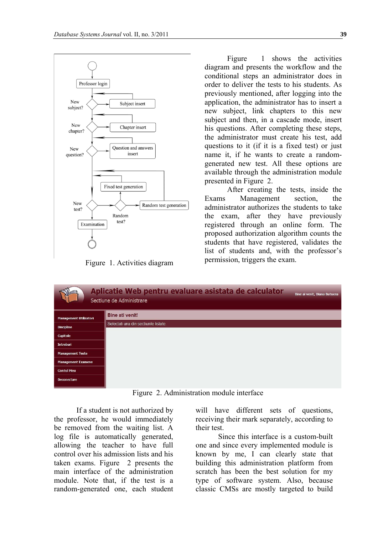

Figure 1. Activities diagram

Figure 1 shows the activities diagram and presents the workflow and the conditional steps an administrator does in order to deliver the tests to his students. As previously mentioned, after logging into the application, the administrator has to insert a new subject, link chapters to this new subject and then, in a cascade mode, insert his questions. After completing these steps, the administrator must create his test, add questions to it (if it is a fixed test) or just name it, if he wants to create a randomgenerated new test. All these options are available through the administration module presented in Figure 2.

After creating the tests, inside the Exams Management section, the administrator authorizes the students to take the exam, after they have previously registered through an online form. The proposed authorization algorithm counts the students that have registered, validates the list of students and, with the professor's permission, triggers the exam.

| Aplicatie Web pentru evaluare asistata de calculator<br>Bine ai venit, Diana Butucea<br>Sectiune de Administrare |                                       |  |  |  |
|------------------------------------------------------------------------------------------------------------------|---------------------------------------|--|--|--|
| <b>Management Utilizatori</b>                                                                                    | <b>Bine ati venit!</b>                |  |  |  |
| <b>Discipline</b>                                                                                                | Selectati una din sectiunile listate. |  |  |  |
| Capitole                                                                                                         |                                       |  |  |  |
| <b>Intrebari</b>                                                                                                 |                                       |  |  |  |
| <b>Management Teste</b>                                                                                          |                                       |  |  |  |
| <b>Management Examene</b>                                                                                        |                                       |  |  |  |
| <b>Contul Meu</b>                                                                                                |                                       |  |  |  |
| <b>Deconectare</b>                                                                                               |                                       |  |  |  |

Figure 2. Administration module interface

If a student is not authorized by the professor, he would immediately be removed from the waiting list. A log file is automatically generated, allowing the teacher to have full control over his admission lists and his taken exams. Figure 2 presents the main interface of the administration module. Note that, if the test is a random-generated one, each student will have different sets of questions, receiving their mark separately, according to their test.

Since this interface is a custom-built one and since every implemented module is known by me, I can clearly state that building this administration platform from scratch has been the best solution for my type of software system. Also, because classic CMSs are mostly targeted to build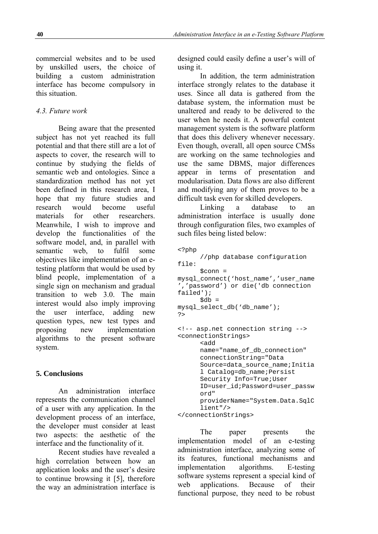commercial websites and to be used by unskilled users, the choice of building a custom administration interface has become compulsory in this situation.

## *4.3. Future work*

Being aware that the presented subject has not yet reached its full potential and that there still are a lot of aspects to cover, the research will to continue by studying the fields of semantic web and ontologies. Since a standardization method has not yet been defined in this research area, I hope that my future studies and research would become useful materials for other researchers. Meanwhile, I wish to improve and develop the functionalities of the software model, and, in parallel with semantic web, to fulfil some objectives like implementation of an etesting platform that would be used by blind people, implementation of a single sign on mechanism and gradual transition to web 3.0. The main interest would also imply improving the user interface, adding new question types, new test types and proposing new implementation algorithms to the present software system.

#### **5. Conclusions**

An administration interface represents the communication channel of a user with any application. In the development process of an interface, the developer must consider at least two aspects: the aesthetic of the interface and the functionality of it.

Recent studies have revealed a high correlation between how an application looks and the user's desire to continue browsing it [5], therefore the way an administration interface is

designed could easily define a user's will of using it.

In addition, the term administration interface strongly relates to the database it uses. Since all data is gathered from the database system, the information must be unaltered and ready to be delivered to the user when he needs it. A powerful content management system is the software platform that does this delivery whenever necessary. Even though, overall, all open source CMSs are working on the same technologies and use the same DBMS, major differences appear in terms of presentation and modularisation. Data flows are also different and modifying any of them proves to be a difficult task even for skilled developers.

Linking a database to an administration interface is usually done through configuration files, two examples of such files being listed below:

```
<?php 
       //php database configuration 
file: 
      $conn = 
mysql_connect('host_name','user_name
','password') or die('db connection 
failed'); 
      5db =mysql_select_db('db_name'); 
?> 
<!-- asp.net connection string --> 
<connectionStrings> 
      <add 
      name="name_of_db_connection" 
      connectionString="Data 
      Source=data_source_name;Initia
      l Catalog=db_name;Persist 
      Security Info=True;User 
      ID=user_id;Password=user_passw
      ord" 
      providerName="System.Data.SqlC
      lient"/> 
</connectionStrings>
```
The paper presents the implementation model of an e-testing administration interface, analyzing some of its features, functional mechanisms and implementation algorithms. E-testing software systems represent a special kind of web applications. Because of their functional purpose, they need to be robust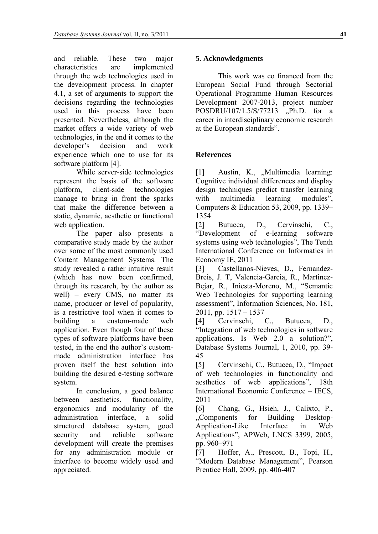and reliable. These two major characteristics are implemented through the web technologies used in the development process. In chapter 4.1, a set of arguments to support the decisions regarding the technologies used in this process have been presented. Nevertheless, although the market offers a wide variety of web technologies, in the end it comes to the developer's decision and work experience which one to use for its software platform [4].

While server-side technologies represent the basis of the software platform, client-side technologies manage to bring in front the sparks that make the difference between a static, dynamic, aesthetic or functional web application.

The paper also presents a comparative study made by the author over some of the most commonly used Content Management Systems. The study revealed a rather intuitive result (which has now been confirmed, through its research, by the author as well) – every CMS, no matter its name, producer or level of popularity, is a restrictive tool when it comes to building a custom-made web application. Even though four of these types of software platforms have been tested, in the end the author's custommade administration interface has proven itself the best solution into building the desired e-testing software system.

In conclusion, a good balance between aesthetics, functionality, ergonomics and modularity of the administration interface, a solid structured database system, good security and reliable software development will create the premises for any administration module or interface to become widely used and appreciated.

# **5. Acknowledgments**

This work was co financed from the European Social Fund through Sectorial Operational Programme Human Resources Development 2007-2013, project number POSDRU/107/1.5/S/77213 ,Ph.D. for a career in interdisciplinary economic research at the European standards".

# **References**

[1] Austin, K., "Multimedia learning: Cognitive individual differences and display design techniques predict transfer learning with multimedia learning modules". Computers & Education 53, 2009, pp. 1339– 1354

[2] Butucea, D., Cervinschi, C., "Development of e-learning software systems using web technologies", The Tenth International Conference on Informatics in Economy IE, 2011

[3] Castellanos-Nieves, D., Fernandez-Breis, J. T, Valencia-Garcia, R., Martinez-Bejar, R., Iniesta-Moreno, M., "Semantic Web Technologies for supporting learning assessment", Information Sciences, No. 181, 2011, pp. 1517 – 1537

[4] Cervinschi, C., Butucea, D., "Integration of web technologies in software applications. Is Web 2.0 a solution?", Database Systems Journal, 1, 2010, pp. 39- 45

[5] Cervinschi, C., Butucea, D., "Impact of web technologies in functionality and aesthetics of web applications", 18th International Economic Conference – IECS, 2011

[6] Chang, G., Hsieh, J., Calixto, P., "Components for Building Desktop-Application-Like Interface in Web Applications", APWeb, LNCS 3399, 2005, pp. 960–971

[7] Hoffer, A., Prescott, B., Topi, H., "Modern Database Management", Pearson Prentice Hall, 2009, pp. 406-407